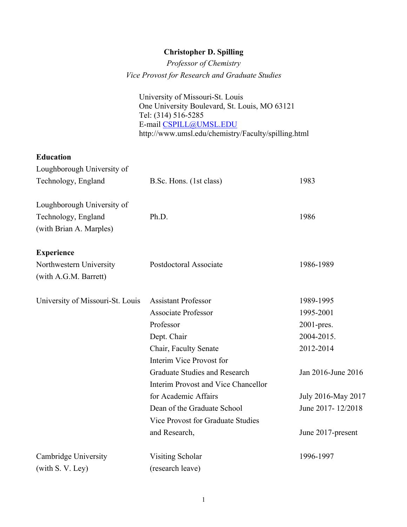# **Christopher D. Spilling**

*Professor of Chemistry Vice Provost for Research and Graduate Studies*

University of Missouri-St. Louis One University Boulevard, St. Louis, MO 63121 Tel: (314) 516-5285 E-mail CSPILL@UMSL.EDU http://www.umsl.edu/chemistry/Faculty/spilling.html

# **Education**

| Loughborough University of       |                                     |                    |
|----------------------------------|-------------------------------------|--------------------|
| Technology, England              | B.Sc. Hons. (1st class)             | 1983               |
| Loughborough University of       |                                     |                    |
| Technology, England              | Ph.D.                               | 1986               |
| (with Brian A. Marples)          |                                     |                    |
| <b>Experience</b>                |                                     |                    |
| Northwestern University          | Postdoctoral Associate              | 1986-1989          |
| (with A.G.M. Barrett)            |                                     |                    |
| University of Missouri-St. Louis | <b>Assistant Professor</b>          | 1989-1995          |
|                                  | <b>Associate Professor</b>          | 1995-2001          |
|                                  | Professor                           | 2001-pres.         |
|                                  | Dept. Chair                         | 2004-2015.         |
|                                  | Chair, Faculty Senate               | 2012-2014          |
|                                  | Interim Vice Provost for            |                    |
|                                  | Graduate Studies and Research       | Jan 2016-June 2016 |
|                                  | Interim Provost and Vice Chancellor |                    |
|                                  | for Academic Affairs                | July 2016-May 2017 |
|                                  | Dean of the Graduate School         | June 2017-12/2018  |
|                                  | Vice Provost for Graduate Studies   |                    |
|                                  | and Research,                       | June 2017-present  |
| Cambridge University             | <b>Visiting Scholar</b>             | 1996-1997          |
| (with S. V. Ley)                 | (research leave)                    |                    |
|                                  |                                     |                    |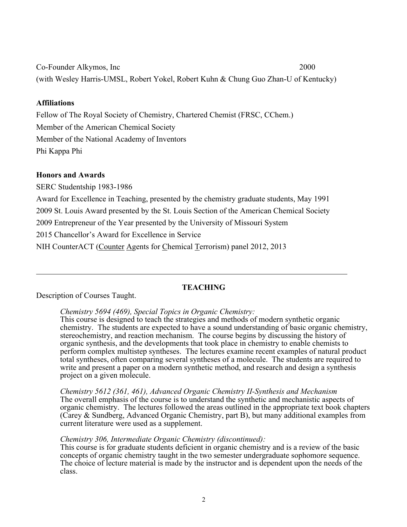Co-Founder Alkymos, Inc 2000 (with Wesley Harris-UMSL, Robert Yokel, Robert Kuhn & Chung Guo Zhan-U of Kentucky)

# **Affiliations**

Fellow of The Royal Society of Chemistry, Chartered Chemist (FRSC, CChem.) Member of the American Chemical Society Member of the National Academy of Inventors Phi Kappa Phi

# **Honors and Awards**

SERC Studentship 1983-1986

Award for Excellence in Teaching, presented by the chemistry graduate students, May 1991

2009 St. Louis Award presented by the St. Louis Section of the American Chemical Society

2009 Entrepreneur of the Year presented by the University of Missouri System

2015 Chancellor's Award for Excellence in Service

NIH CounterACT (Counter Agents for Chemical Terrorism) panel 2012, 2013

# **TEACHING**

Description of Courses Taught.

*Chemistry 5694 (469), Special Topics in Organic Chemistry:*

This course is designed to teach the strategies and methods of modern synthetic organic chemistry. The students are expected to have a sound understanding of basic organic chemistry, stereochemistry, and reaction mechanism. The course begins by discussing the history of organic synthesis, and the developments that took place in chemistry to enable chemists to perform complex multistep syntheses. The lectures examine recent examples of natural product total syntheses, often comparing several syntheses of a molecule. The students are required to write and present a paper on a modern synthetic method, and research and design a synthesis project on a given molecule.

*Chemistry 5612 (361, 461), Advanced Organic Chemistry II-Synthesis and Mechanism* The overall emphasis of the course is to understand the synthetic and mechanistic aspects of organic chemistry. The lectures followed the areas outlined in the appropriate text book chapters (Carey & Sundberg, Advanced Organic Chemistry, part B), but many additional examples from current literature were used as a supplement.

## *Chemistry 306, Intermediate Organic Chemistry (discontinued):*

This course is for graduate students deficient in organic chemistry and is a review of the basic concepts of organic chemistry taught in the two semester undergraduate sophomore sequence. The choice of lecture material is made by the instructor and is dependent upon the needs of the class.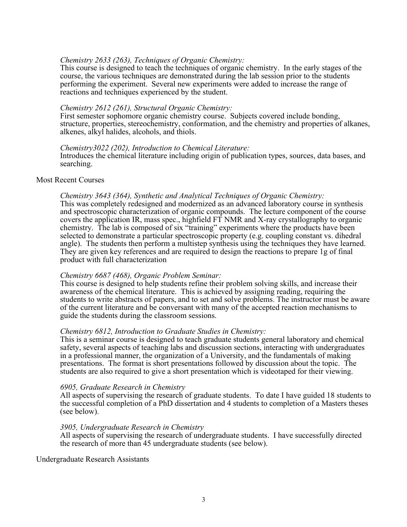#### *Chemistry 2633 (263), Techniques of Organic Chemistry:*

This course is designed to teach the techniques of organic chemistry. In the early stages of the course, the various techniques are demonstrated during the lab session prior to the students performing the experiment. Several new experiments were added to increase the range of reactions and techniques experienced by the student.

#### *Chemistry 2612 (261), Structural Organic Chemistry:*

First semester sophomore organic chemistry course. Subjects covered include bonding, structure, properties, stereochemistry, conformation, and the chemistry and properties of alkanes, alkenes, alkyl halides, alcohols, and thiols.

#### *Chemistry3022 (202), Introduction to Chemical Literature:*

Introduces the chemical literature including origin of publication types, sources, data bases, and searching.

#### Most Recent Courses

#### *Chemistry 3643 (364), Synthetic and Analytical Techniques of Organic Chemistry:*

This was completely redesigned and modernized as an advanced laboratory course in synthesis and spectroscopic characterization of organic compounds. The lecture component of the course covers the application IR, mass spec., highfield FT NMR and X-ray crystallography to organic chemistry. The lab is composed of six "training" experiments where the products have been selected to demonstrate a particular spectroscopic property (e.g. coupling constant vs. dihedral angle). The students then perform a multistep synthesis using the techniques they have learned. They are given key references and are required to design the reactions to prepare 1g of final product with full characterization

#### *Chemistry 6687 (468), Organic Problem Seminar:*

This course is designed to help students refine their problem solving skills, and increase their awareness of the chemical literature. This is achieved by assigning reading, requiring the students to write abstracts of papers, and to set and solve problems. The instructor must be aware of the current literature and be conversant with many of the accepted reaction mechanisms to guide the students during the classroom sessions.

#### *Chemistry 6812, Introduction to Graduate Studies in Chemistry:*

This is a seminar course is designed to teach graduate students general laboratory and chemical safety, several aspects of teaching labs and discussion sections, interacting with undergraduates in a professional manner, the organization of a University, and the fundamentals of making presentations. The format is short presentations followed by discussion about the topic. The students are also required to give a short presentation which is videotaped for their viewing.

#### *6905, Graduate Research in Chemistry*

All aspects of supervising the research of graduate students. To date I have guided 18 students to the successful completion of a PhD dissertation and 4 students to completion of a Masters theses (see below).

#### *3905, Undergraduate Research in Chemistry*

All aspects of supervising the research of undergraduate students. I have successfully directed the research of more than 45 undergraduate students (see below).

Undergraduate Research Assistants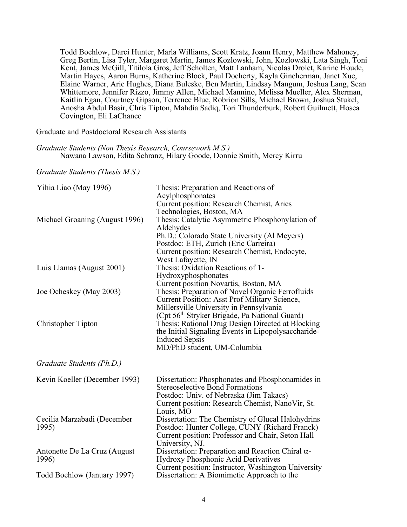Todd Boehlow, Darci Hunter, Marla Williams, Scott Kratz, Joann Henry, Matthew Mahoney, Greg Bertin, Lisa Tyler, Margaret Martin, James Kozlowski, John, Kozlowski, Lata Singh, Toni Kent, James McGill, Titilola Gros, Jeff Scholten, Matt Lanham, Nicolas Drolet, Karine Houde, Martin Hayes, Aaron Burns, Katherine Block, Paul Docherty, Kayla Gincherman, Janet Xue, Elaine Warner, Arie Hughes, Diana Buleske, Ben Martin, Lindsay Mangum, Joshua Lang, Sean Whittemore, Jennifer Rizzo, Jimmy Allen, Michael Mannino, Melissa Mueller, Alex Sherman, Kaitlin Egan, Courtney Gipson, Terrence Blue, Robrion Sills, Michael Brown, Joshua Stukel, Anosha Abdul Basir, Chris Tipton, Mahdia Sadiq, Tori Thunderburk, Robert Guilmett, Hosea Covington, Eli LaChance

Graduate and Postdoctoral Research Assistants

*Graduate Students (Non Thesis Research, Coursework M.S.)* Nawana Lawson, Edita Schranz, Hilary Goode, Donnie Smith, Mercy Kirru

*Graduate Students (Thesis M.S.)*

| Yihia Liao (May 1996)                 | Thesis: Preparation and Reactions of<br>Acylphosphonates<br>Current position: Research Chemist, Aries<br>Technologies, Boston, MA                                                                                           |
|---------------------------------------|-----------------------------------------------------------------------------------------------------------------------------------------------------------------------------------------------------------------------------|
| Michael Groaning (August 1996)        | Thesis: Catalytic Asymmetric Phosphonylation of<br>Aldehydes<br>Ph.D.: Colorado State University (Al Meyers)<br>Postdoc: ETH, Zurich (Eric Carreira)<br>Current position: Research Chemist, Endocyte,<br>West Lafayette, IN |
| Luis Llamas (August 2001)             | Thesis: Oxidation Reactions of 1-<br>Hydroxyphosphonates<br>Current position Novartis, Boston, MA                                                                                                                           |
| Joe Ocheskey (May 2003)               | Thesis: Preparation of Novel Organic Ferrofluids<br><b>Current Position: Asst Prof Military Science,</b><br>Millersville University in Pennsylvania<br>(Cpt 56 <sup>th</sup> Stryker Brigade, Pa National Guard)            |
| Christopher Tipton                    | Thesis: Rational Drug Design Directed at Blocking<br>the Initial Signaling Events in Lipopolysaccharide-<br><b>Induced Sepsis</b><br>MD/PhD student, UM-Columbia                                                            |
| Graduate Students (Ph.D.)             |                                                                                                                                                                                                                             |
| Kevin Koeller (December 1993)         | Dissertation: Phosphonates and Phosphonamides in<br><b>Stereoselective Bond Formations</b><br>Postdoc: Univ. of Nebraska (Jim Takacs)<br>Current position: Research Chemist, NanoVir, St.<br>Louis, MO                      |
| Cecilia Marzabadi (December<br>1995)  | Dissertation: The Chemistry of Glucal Halohydrins<br>Postdoc: Hunter College, CUNY (Richard Franck)<br>Current position: Professor and Chair, Seton Hall<br>University, NJ.                                                 |
| Antonette De La Cruz (August<br>1996) | Dissertation: Preparation and Reaction Chiral $\alpha$ -<br>Hydroxy Phosphonic Acid Derivatives<br>Current position: Instructor, Washington University                                                                      |
| Todd Boehlow (January 1997)           | Dissertation: A Biomimetic Approach to the                                                                                                                                                                                  |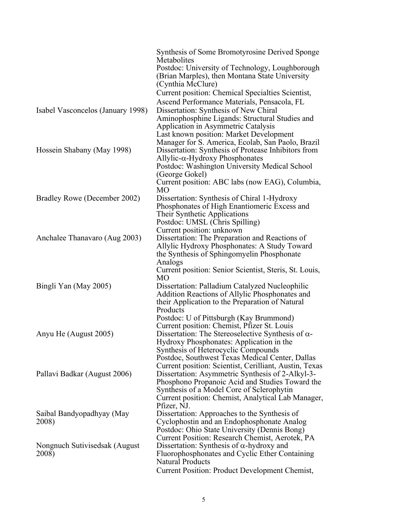|                                   | Synthesis of Some Bromotyrosine Derived Sponge<br>Metabolites<br>Postdoc: University of Technology, Loughborough |
|-----------------------------------|------------------------------------------------------------------------------------------------------------------|
|                                   | (Brian Marples), then Montana State University<br>(Cynthia McClure)                                              |
|                                   | Current position: Chemical Specialties Scientist,                                                                |
|                                   | Ascend Performance Materials, Pensacola, FL                                                                      |
| Isabel Vasconcelos (January 1998) | Dissertation: Synthesis of New Chiral                                                                            |
|                                   | Aminophosphine Ligands: Structural Studies and                                                                   |
|                                   | Application in Asymmetric Catalysis                                                                              |
|                                   | Last known position: Market Development                                                                          |
|                                   | Manager for S. America, Ecolab, San Paolo, Brazil                                                                |
| Hossein Shabany (May 1998)        | Dissertation: Synthesis of Protease Inhibitors from                                                              |
|                                   | $\Delta$ llylic- $\alpha$ -Hydroxy Phosphonates                                                                  |
|                                   | Postdoc: Washington University Medical School                                                                    |
|                                   | (George Gokel)                                                                                                   |
|                                   | Current position: ABC labs (now EAG), Columbia,                                                                  |
|                                   | MO                                                                                                               |
| Bradley Rowe (December 2002)      | Dissertation: Synthesis of Chiral 1-Hydroxy                                                                      |
|                                   | Phosphonates of High Enantiomeric Excess and                                                                     |
|                                   | Their Synthetic Applications                                                                                     |
|                                   | Postdoc: UMSL (Chris Spilling)                                                                                   |
| Anchalee Thanavaro (Aug 2003)     | Current position: unknown<br>Dissertation: The Preparation and Reactions of                                      |
|                                   | Allylic Hydroxy Phosphonates: A Study Toward                                                                     |
|                                   | the Synthesis of Sphingomyelin Phosphonate                                                                       |
|                                   | Analogs                                                                                                          |
|                                   | Current position: Senior Scientist, Steris, St. Louis,                                                           |
|                                   | MO                                                                                                               |
| Bingli Yan (May 2005)             | Dissertation: Palladium Catalyzed Nucleophilic                                                                   |
|                                   | Addition Reactions of Allylic Phosphonates and                                                                   |
|                                   | their Application to the Preparation of Natural                                                                  |
|                                   | Products                                                                                                         |
|                                   | Postdoc: U of Pittsburgh (Kay Brummond)                                                                          |
|                                   | Current position: Chemist, Pfizer St. Louis                                                                      |
| Anyu He (August 2005)             | Dissertation: The Stereoselective Synthesis of $\alpha$ -                                                        |
|                                   | Hydroxy Phosphonates: Application in the                                                                         |
|                                   | Synthesis of Heterocyclic Compounds                                                                              |
|                                   | Postdoc, Southwest Texas Medical Center, Dallas                                                                  |
|                                   | Current position: Scientist, Cerilliant, Austin, Texas                                                           |
| Pallavi Badkar (August 2006)      | Dissertation: Asymmetric Synthesis of 2-Alkyl-3-                                                                 |
|                                   | Phosphono Propanoic Acid and Studies Toward the                                                                  |
|                                   | Synthesis of a Model Core of Sclerophytin                                                                        |
|                                   | Current position: Chemist, Analytical Lab Manager,<br>Pfizer, NJ.                                                |
| Saibal Bandyopadhyay (May         | Dissertation: Approaches to the Synthesis of                                                                     |
| 2008)                             | Cyclophostin and an Endophosphonate Analog                                                                       |
|                                   | Postdoc: Ohio State University (Dennis Bong)                                                                     |
|                                   | Current Position: Research Chemist, Aerotek, PA                                                                  |
| Nongnuch Sutivisedsak (August     | Dissertation: Synthesis of $\alpha$ -hydroxy and                                                                 |
| 2008)                             | Fluorophosphonates and Cyclic Ether Containing                                                                   |
|                                   | <b>Natural Products</b>                                                                                          |
|                                   | Current Position: Product Development Chemist,                                                                   |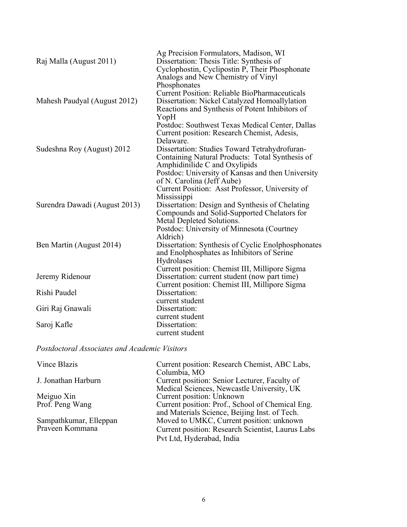| Raj Malla (August 2011)       | Ag Precision Formulators, Madison, WI<br>Dissertation: Thesis Title: Synthesis of<br>Cyclophostin, Cyclipostin P, Their Phosphonate<br>Analogs and New Chemistry of Vinyl        |
|-------------------------------|----------------------------------------------------------------------------------------------------------------------------------------------------------------------------------|
| Mahesh Paudyal (August 2012)  | Phosphonates<br><b>Current Position: Reliable BioPharmaceuticals</b><br>Dissertation: Nickel Catalyzed Homoallylation<br>Reactions and Synthesis of Potent Inhibitors of<br>YopH |
|                               | Postdoc: Southwest Texas Medical Center, Dallas<br>Current position: Research Chemist, Adesis,<br>Delaware.                                                                      |
| Sudeshna Roy (August) 2012    | Dissertation: Studies Toward Tetrahydrofuran-<br>Containing Natural Products: Total Synthesis of<br>Amphidinilide C and Oxylipids                                                |
|                               | Postdoc: University of Kansas and then University<br>of N. Carolina (Jeff Aube)                                                                                                  |
|                               | Current Position: Asst Professor, University of<br>Mississippi                                                                                                                   |
| Surendra Dawadi (August 2013) | Dissertation: Design and Synthesis of Chelating<br>Compounds and Solid-Supported Chelators for<br>Metal Depleted Solutions.                                                      |
|                               | Postdoc: University of Minnesota (Courtney<br>Aldrich)                                                                                                                           |
| Ben Martin (August 2014)      | Dissertation: Synthesis of Cyclic Enolphosphonates<br>and Enolphosphates as Inhibitors of Serine<br>Hydrolases                                                                   |
| Jeremy Ridenour               | Current position: Chemist III, Millipore Sigma<br>Dissertation: current student (now part time)                                                                                  |
| Rishi Paudel                  | Current position: Chemist III, Millipore Sigma<br>Dissertation:                                                                                                                  |
| Giri Raj Gnawali              | current student<br>Dissertation:                                                                                                                                                 |
| Saroj Kafle                   | current student<br>Dissertation:<br>current student                                                                                                                              |

*Postdoctoral Associates and Academic Visitors*

| Vince Blazis           | Current position: Research Chemist, ABC Labs,     |
|------------------------|---------------------------------------------------|
|                        | Columbia, MO                                      |
| J. Jonathan Harburn    | Current position: Senior Lecturer, Faculty of     |
|                        | Medical Sciences, Newcastle University, UK        |
| Meiguo Xin             | Current position: Unknown                         |
| Prof. Peng Wang        | Current position: Prof., School of Chemical Eng.  |
|                        | and Materials Science, Beijing Inst. of Tech.     |
| Sampathkumar, Elleppan | Moved to UMKC, Current position: unknown          |
| Praveen Kommana        | Current position: Research Scientist, Laurus Labs |
|                        | Pvt Ltd, Hyderabad, India                         |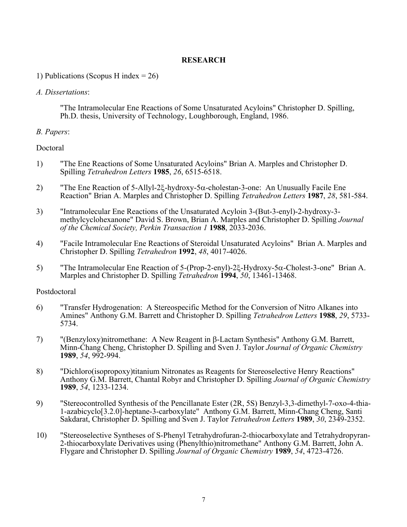### **RESEARCH**

### 1) Publications (Scopus H index  $= 26$ )

#### *A. Dissertations*:

"The Intramolecular Ene Reactions of Some Unsaturated Acyloins" Christopher D. Spilling, Ph.D. thesis, University of Technology, Loughborough, England, 1986.

## *B. Papers*:

## Doctoral

- 1) "The Ene Reactions of Some Unsaturated Acyloins" Brian A. Marples and Christopher D. Spilling *Tetrahedron Letters* **1985**, *26*, 6515-6518.
- 2) "The Ene Reaction of 5-Allyl-2 $\xi$ -hydroxy-5 $\alpha$ -cholestan-3-one: An Unusually Facile Ene Reaction" Brian A. Marples and Christopher D. Spilling *Tetrahedron Letters* **1987**, *28*, 581-584.
- 3) "Intramolecular Ene Reactions of the Unsaturated Acyloin 3-(But-3-enyl)-2-hydroxy-3 methylcyclohexanone" David S. Brown, Brian A. Marples and Christopher D. Spilling *Journal of the Chemical Society, Perkin Transaction 1* **1988**, 2033-2036.
- 4) "Facile Intramolecular Ene Reactions of Steroidal Unsaturated Acyloins" Brian A. Marples and Christopher D. Spilling *Tetrahedron* **1992**, *48*, 4017-4026.
- 5) "The Intramolecular Ene Reaction of  $5$ -(Prop-2-enyl)-2 $\xi$ -Hydroxy- $5\alpha$ -Cholest-3-one" Brian A. Marples and Christopher D. Spilling *Tetrahedron* **1994**, *50*, 13461-13468.

#### Postdoctoral

- 6) "Transfer Hydrogenation: A Stereospecific Method for the Conversion of Nitro Alkanes into Amines" Anthony G.M. Barrett and Christopher D. Spilling *Tetrahedron Letters* **1988**, *29*, 5733- 5734.
- 7) "(Benzyloxy)nitromethane: A New Reagent in  $\beta$ -Lactam Synthesis" Anthony G.M. Barrett, Minn-Chang Cheng, Christopher D. Spilling and Sven J. Taylor *Journal of Organic Chemistry* **1989**, *54*, 992-994.
- 8) "Dichloro(isopropoxy)titanium Nitronates as Reagents for Stereoselective Henry Reactions" Anthony G.M. Barrett, Chantal Robyr and Christopher D. Spilling *Journal of Organic Chemistry* **1989**, *54*, 1233-1234.
- 9) "Stereocontrolled Synthesis of the Pencillanate Ester (2R, 5S) Benzyl-3,3-dimethyl-7-oxo-4-thia-1-azabicyclo[3.2.0]-heptane-3-carboxylate" Anthony G.M. Barrett, Minn-Chang Cheng, Santi Sakdarat, Christopher D. Spilling and Sven J. Taylor *Tetrahedron Letters* **1989**, *30*, 2349-2352.
- 10) "Stereoselective Syntheses of S-Phenyl Tetrahydrofuran-2-thiocarboxylate and Tetrahydropyran-2-thiocarboxylate Derivatives using (Phenylthio)nitromethane" Anthony G.M. Barrett, John A. Flygare and Christopher D. Spilling *Journal of Organic Chemistry* **1989**, *54*, 4723-4726.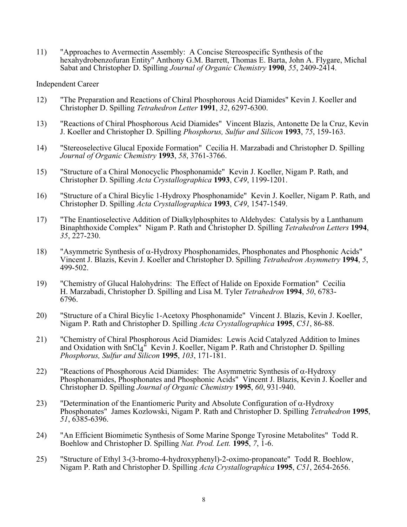11) "Approaches to Avermectin Assembly: A Concise Stereospecific Synthesis of the hexahydrobenzofuran Entity" Anthony G.M. Barrett, Thomas E. Barta, John A. Flygare, Michal Sabat and Christopher D. Spilling *Journal of Organic Chemistry* **1990**, *55*, 2409-2414.

#### Independent Career

- 12) "The Preparation and Reactions of Chiral Phosphorous Acid Diamides" Kevin J. Koeller and Christopher D. Spilling *Tetrahedron Letter* **1991**, *32*, 6297-6300.
- 13) "Reactions of Chiral Phosphorous Acid Diamides" Vincent Blazis, Antonette De la Cruz, Kevin J. Koeller and Christopher D. Spilling *Phosphorus, Sulfur and Silicon* **1993**, *75*, 159-163.
- 14) "Stereoselective Glucal Epoxide Formation" Cecilia H. Marzabadi and Christopher D. Spilling *Journal of Organic Chemistry* **1993**, *58*, 3761-3766.
- 15) "Structure of a Chiral Monocyclic Phosphonamide" Kevin J. Koeller, Nigam P. Rath, and Christopher D. Spilling *Acta Crystallographica* **1993**, *C49*, 1199-1201.
- 16) "Structure of a Chiral Bicylic 1-Hydroxy Phosphonamide" Kevin J. Koeller, Nigam P. Rath, and Christopher D. Spilling *Acta Crystallographica* **1993**, *C49*, 1547-1549.
- 17) "The Enantioselective Addition of Dialkylphosphites to Aldehydes: Catalysis by a Lanthanum Binaphthoxide Complex" Nigam P. Rath and Christopher D. Spilling *Tetrahedron Letters* **1994**, *35*, 227-230.
- 18) "Asymmetric Synthesis of  $\alpha$ -Hydroxy Phosphonamides, Phosphonates and Phosphonic Acids" Vincent J. Blazis, Kevin J. Koeller and Christopher D. Spilling *Tetrahedron Asymmetry* **1994**, *5*, 499-502.
- 19) "Chemistry of Glucal Halohydrins: The Effect of Halide on Epoxide Formation" Cecilia H. Marzabadi, Christopher D. Spilling and Lisa M. Tyler *Tetrahedron* **<sup>1994</sup>**, *50*, 6783- 6796.
- 20) "Structure of a Chiral Bicylic 1-Acetoxy Phosphonamide" Vincent J. Blazis, Kevin J. Koeller, Nigam P. Rath and Christopher D. Spilling *Acta Crystallographica* **1995**, *C51*, 86-88.
- 21) "Chemistry of Chiral Phosphorous Acid Diamides: Lewis Acid Catalyzed Addition to Imines and Oxidation with SnCl<sub>4</sub><sup>"</sup> Kevin J. Koeller, Nigam P. Rath and Christopher D. Spilling *Phosphorus, Sulfur and Silicon* **1995**, *103*, 171-181.
- 22) "Reactions of Phosphorous Acid Diamides: The Asymmetric Synthesis of  $\alpha$ -Hydroxy Phosphonamides, Phosphonates and Phosphonic Acids" Vincent J. Blazis, Kevin J. Koeller and Christopher D. Spilling *Journal of Organic Chemistry* **1995**, *60*, 931-940.
- 23) "Determination of the Enantiomeric Purity and Absolute Configuration of  $\alpha$ -Hydroxy Phosphonates" James Kozlowski, Nigam P. Rath and Christopher D. Spilling *Tetrahedron* **1995**, *51*, 6385-6396.
- 24) "An Efficient Biomimetic Synthesis of Some Marine Sponge Tyrosine Metabolites" Todd R. Boehlow and Christopher D. Spilling *Nat. Prod. Lett.* **1995**, *7*, 1-6.
- 25) "Structure of Ethyl 3-(3-bromo-4-hydroxyphenyl)-2-oximo-propanoate" Todd R. Boehlow, Nigam P. Rath and Christopher D. Spilling *Acta Crystallographica* **1995**, *C51*, 2654-2656.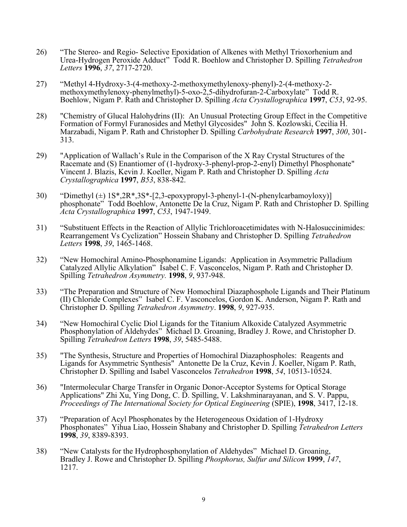- 26) "The Stereo- and Regio- Selective Epoxidation of Alkenes with Methyl Trioxorhenium and Urea-Hydrogen Peroxide Adduct" Todd R. Boehlow and Christopher D. Spilling *Tetrahedron Letters* **1996**, *37*, 2717-2720.
- 27) "Methyl 4-Hydroxy-3-(4-methoxy-2-methoxymethylenoxy-phenyl)-2-(4-methoxy-2- methoxymethylenoxy-phenylmethyl)-5-oxo-2,5-dihydrofuran-2-Carboxylate" Todd R. Boehlow, Nigam P. Rath and Christopher D. Spilling *Acta Crystallographica* **1997**, *C53*, 92-95.
- 28) "Chemistry of Glucal Halohydrins (II): An Unusual Protecting Group Effect in the Competitive Formation of Formyl Furanosides and Methyl Glycosides" John S. Kozlowski, Cecilia H. Marzabadi, Nigam P. Rath and Christopher D. Spilling *Carbohydrate Research* **1997**, *300*, 301- 313.
- 29) "Application of Wallach's Rule in the Comparison of the X Ray Crystal Structures of the Racemate and (S) Enantiomer of (1-hydroxy-3-phenyl-prop-2-enyl) Dimethyl Phosphonate" Vincent J. Blazis, Kevin J. Koeller, Nigam P. Rath and Christopher D. Spilling *Acta Crystallographica* **1997**, *B53*, 838-842.
- 30) "Dimethyl  $(\pm)$  1S\*,2R\*,3S\*-[2,3-epoxypropyl-3-phenyl-1-(N-phenylcarbamoyloxy)] phosphonate" Todd Boehlow, Antonette De la Cruz, Nigam P. Rath and Christopher D. Spilling *Acta Crystallographica* **1997**, *C53*, 1947-1949.
- 31) "Substituent Effects in the Reaction of Allylic Trichloroacetimidates with N-Halosuccinimides: Rearrangement Vs Cyclization" Hossein Shabany and Christopher D. Spilling *Tetrahedron Letters* **1998**, *39*, 1465-1468.
- 32) "New Homochiral Amino-Phosphonamine Ligands: Application in Asymmetric Palladium Catalyzed Allylic Alkylation" Isabel C. F. Vasconcelos, Nigam P. Rath and Christopher D. Spilling *Tetrahedron Asymmetry.* **1998**, *9*, 937-948.
- 33) "The Preparation and Structure of New Homochiral Diazaphosphole Ligands and Their Platinum (II) Chloride Complexes" Isabel C. F. Vasconcelos, Gordon K. Anderson, Nigam P. Rath and Christopher D. Spilling *Tetrahedron Asymmetry*. **1998**, *9*, 927-935.
- 34) "New Homochiral Cyclic Diol Ligands for the Titanium Alkoxide Catalyzed Asymmetric Phosphonylation of Aldehydes" Michael D. Groaning, Bradley J. Rowe, and Christopher D. Spilling *Tetrahedron Letters* **1998**, *39*, 5485-5488.
- 35) "The Synthesis, Structure and Properties of Homochiral Diazaphospholes: Reagents and Ligands for Asymmetric Synthesis" Antonette De la Cruz, Kevin J. Koeller, Nigam P. Rath, Christopher D. Spilling and Isabel Vasconcelos *Tetrahedron* **1998**, *54*, 10513-10524.
- 36) "Intermolecular Charge Transfer in Organic Donor-Acceptor Systems for Optical Storage Applications" Zhi Xu, Ying Dong, C. D. Spilling, V. Lakshminarayanan, and S. V. Pappu, *Proceedings of The International Society for Optical Engineering* (SPIE), **1998**, 3417, 12-18.
- 37) "Preparation of Acyl Phosphonates by the Heterogeneous Oxidation of 1-Hydroxy Phosphonates" Yihua Liao, Hossein Shabany and Christopher D. Spilling *Tetrahedron Letters* **1998**, *39*, 8389-8393.
- 38) "New Catalysts for the Hydrophosphonylation of Aldehydes" Michael D. Groaning, Bradley J. Rowe and Christopher D. Spilling *Phosphorus, Sulfur and Silicon* **1999**, *147*, 1217.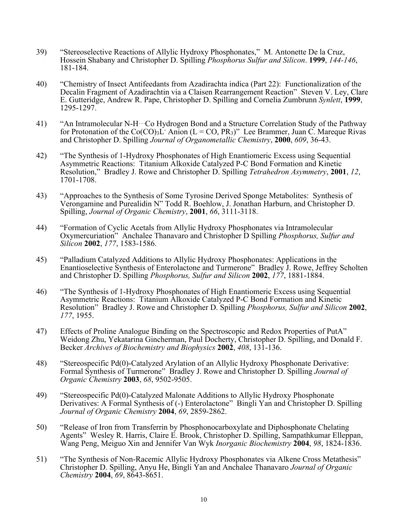- 39) "Stereoselective Reactions of Allylic Hydroxy Phosphonates," M. Antonette De la Cruz, Hossein Shabany and Christopher D. Spilling *Phosphorus Sulfur and Silicon*. **1999**, *144-146*, 181-184.
- 40) "Chemistry of Insect Antifeedants from Azadirachta indica (Part 22): Functionalization of the Decalin Fragment of Azadirachtin via a Claisen Rearrangement Reaction" Steven V. Ley, Clare E. Gutteridge, Andrew R. Pape, Christopher D. Spilling and Cornelia Zumbrunn *Synlett*, **1999**, 1295-1297.
- 41) "An Intramolecular N-H…Co Hydrogen Bond and a Structure Correlation Study of the Pathway for Protonation of the Co(CO)<sub>3</sub>L- Anion (L = CO, PR<sub>3</sub>)" Lee Brammer, Juan C. Mareque Rivas and Christopher D. Spilling *Journal of Organometallic Chemistry*, **2000**, *609*, 36-43.
- 42) "The Synthesis of 1-Hydroxy Phosphonates of High Enantiomeric Excess using Sequential Asymmetric Reactions: Titanium Alkoxide Catalyzed P-C Bond Formation and Kinetic Resolution," Bradley J. Rowe and Christopher D. Spilling *Tetrahedron Asymmetry*, **2001**, *12*, 1701-1708.
- 43) "Approaches to the Synthesis of Some Tyrosine Derived Sponge Metabolites: Synthesis of Verongamine and Purealidin N" Todd R. Boehlow, J. Jonathan Harburn, and Christopher D. Spilling, *Journal of Organic Chemistry*, **2001**, *66*, 3111-3118.
- 44) "Formation of Cyclic Acetals from Allylic Hydroxy Phosphonates via Intramolecular Oxymercuriation" Anchalee Thanavaro and Christopher D Spilling *Phosphorus, Sulfur and Silicon* **2002**, *177*, 1583-1586.
- 45) "Palladium Catalyzed Additions to Allylic Hydroxy Phosphonates: Applications in the Enantioselective Synthesis of Enterolactone and Turmerone" Bradley J. Rowe, Jeffrey Scholten and Christopher D. Spilling *Phosphorus, Sulfur and Silicon* **2002**, *177*, 1881-1884.
- 46) "The Synthesis of 1-Hydroxy Phosphonates of High Enantiomeric Excess using Sequential Asymmetric Reactions: Titanium Alkoxide Catalyzed P-C Bond Formation and Kinetic Resolution" Bradley J. Rowe and Christopher D. Spilling *Phosphorus, Sulfur and Silicon* **<sup>2002</sup>**, *177*, 1955.
- 47) Effects of Proline Analogue Binding on the Spectroscopic and Redox Properties of PutA" Weidong Zhu, Yekatarina Gincherman, Paul Docherty, Christopher D. Spilling, and Donald F. Becker *Archives of Biochemistry and Biophysics* **2002**, *408*, 131-136.
- 48) "Stereospecific Pd(0)-Catalyzed Arylation of an Allylic Hydroxy Phosphonate Derivative: Formal Synthesis of Turmerone" Bradley J. Rowe and Christopher D. Spilling *Journal of Organic Chemistry* **2003**, *68*, 9502-9505.
- 49) "Stereospecific Pd(0)-Catalyzed Malonate Additions to Allylic Hydroxy Phosphonate Derivatives: A Formal Synthesis of (-) Enterolactone" Bingli Yan and Christopher D. Spilling *Journal of Organic Chemistry* **2004**, *69*, 2859-2862.
- 50) "Release of Iron from Transferrin by Phosphonocarboxylate and Diphosphonate Chelating Agents" Wesley R. Harris, Claire E. Brook, Christopher D. Spilling, Sampathkumar Elleppan, Wang Peng, Meiguo Xin and Jennifer Van Wyk *Inorganic Biochemistry* **2004**, *98*, 1824-1836.
- 51) "The Synthesis of Non-Racemic Allylic Hydroxy Phosphonates via Alkene Cross Metathesis" Christopher D. Spilling, Anyu He, Bingli Yan and Anchalee Thanavaro *Journal of Organic Chemistry* **2004**, *69*, 8643-8651.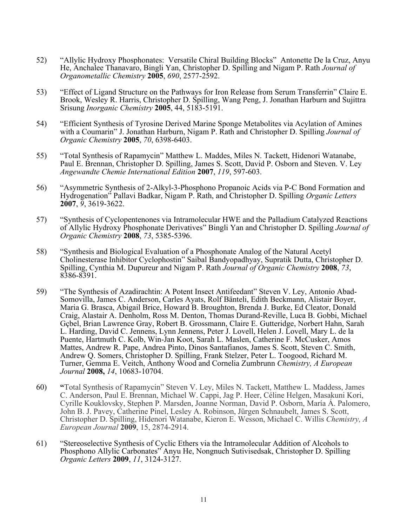- 52) "Allylic Hydroxy Phosphonates: Versatile Chiral Building Blocks" Antonette De la Cruz, Anyu He, Anchalee Thanavaro, Bingli Yan, Christopher D. Spilling and Nigam P. Rath *Journal of Organometallic Chemistry* **2005**, *690*, 2577-2592.
- 53) "Effect of Ligand Structure on the Pathways for Iron Release from Serum Transferrin" Claire E. Brook, Wesley R. Harris, Christopher D. Spilling, Wang Peng, J. Jonathan Harburn and Sujittra Srisung *Inorganic Chemistry* **2005**, 44, 5183-5191.
- 54) "Efficient Synthesis of Tyrosine Derived Marine Sponge Metabolites via Acylation of Amines with a Coumarin" J. Jonathan Harburn, Nigam P. Rath and Christopher D. Spilling *Journal of Organic Chemistry* **2005**, *70*, 6398-6403.
- 55) "Total Synthesis of Rapamycin" Matthew L. Maddes, Miles N. Tackett, Hidenori Watanabe, Paul E. Brennan, Christopher D. Spilling, James S. Scott, David P. Osborn and Steven. V. Ley *Angewandte Chemie International Edition* **2007**, *119*, 597-603.
- 56) "Asymmetric Synthesis of 2-Alkyl-3-Phosphono Propanoic Acids via P-C Bond Formation and Hydrogenation" Pallavi Badkar, Nigam P. Rath, and Christopher D. Spilling *Organic Letters* **2007**, *9*, 3619-3622.
- 57) "Synthesis of Cyclopentenones via Intramolecular HWE and the Palladium Catalyzed Reactions of Allylic Hydroxy Phosphonate Derivatives" Bingli Yan and Christopher D. Spilling *Journal of Organic Chemistry* **2008**, *73*, 5385-5396.
- 58) "Synthesis and Biological Evaluation of a Phosphonate Analog of the Natural Acetyl Cholinesterase Inhibitor Cyclophostin" Saibal Bandyopadhyay, Supratik Dutta, Christopher D. Spilling, Cynthia M. Dupureur and Nigam P. Rath *Journal of Organic Chemistry* **2008**, *73*, 8386-8391.
- 59) "The Synthesis of Azadirachtin: A Potent Insect Antifeedant" Steven V. Ley, Antonio Abad- Somovilla, James C. Anderson, Carles Ayats, Rolf Bänteli, Edith Beckmann, Alistair Boyer, Maria G. Brasca, Abigail Brice, Howard B. Broughton, Brenda J. Burke, Ed Cleator, Donald Craig, Alastair A. Denholm, Ross M. Denton, Thomas Durand-Reville, Luca B. Gobbi, Michael Gçbel, Brian Lawrence Gray, Robert B. Grossmann, Claire E. Gutteridge, Norbert Hahn, Sarah L. Harding, David C. Jennens, Lynn Jennens, Peter J. Lovell, Helen J. Lovell, Mary L. de la Puente, Hartmuth C. Kolb, Win-Jan Koot, Sarah L. Maslen, Catherine F. McCusker, Amos Mattes, Andrew R. Pape, Andrea Pinto, Dinos Santafianos, James S. Scott, Steven C. Smith, Andrew Q. Somers, Christopher D. Spilling, Frank Stelzer, Peter L. Toogood, Richard M. Turner, Gemma E. Veitch, Anthony Wood and Cornelia Zumbrunn *Chemistry, A European Journal* **2008,** *14*, 10683-10704.
- 60) **"**Total Synthesis of Rapamycin" Steven V. Ley, Miles N. Tackett, Matthew L. Maddess, James C. Anderson, Paul E. Brennan, Michael W. Cappi, Jag P. Heer, Céline Helgen, Masakuni Kori, Cyrille Kouklovsky, Stephen P. Marsden, Joanne Norman, David P. Osborn, María Á. Palomero, John B. J. Pavey, Catherine Pinel, Lesley A. Robinson, Jürgen Schnaubelt, James S. Scott, Christopher D. Spilling, Hidenori Watanabe, Kieron E. Wesson, Michael C. Willis *Chemistry, A European Journal* **2009**, 15, 2874-2914.
- 61) "Stereoselective Synthesis of Cyclic Ethers via the Intramolecular Addition of Alcohols to Phosphono Allylic Carbonates" Anyu He, Nongnuch Sutivisedsak, Christopher D. Spilling *Organic Letters* **2009**, *11*, 3124-3127.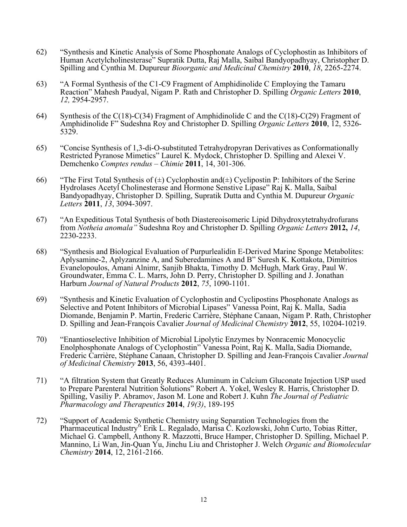- 62) "Synthesis and Kinetic Analysis of Some Phosphonate Analogs of Cyclophostin as Inhibitors of Human Acetylcholinesterase" Supratik Dutta, Raj Malla, Saibal Bandyopadhyay, Christopher D. Spilling and Cynthia M. Dupureur *Bioorganic and Medicinal Chemistry* **2010**, *18*, 2265-2274.
- 63) "A Formal Synthesis of the C1-C9 Fragment of Amphidinolide C Employing the Tamaru Reaction" Mahesh Paudyal, Nigam P. Rath and Christopher D. Spilling *Organic Letters* **<sup>2010</sup>**, *12,* 2954-2957.
- 64) Synthesis of the C(18)-C(34) Fragment of Amphidinolide C and the C(18)-C(29) Fragment of Amphidinolide F" Sudeshna Roy and Christopher D. Spilling *Organic Letters* **2010**, 12, 5326- 5329.
- 65) "Concise Synthesis of 1,3-di-O-substituted Tetrahydropyran Derivatives as Conformationally Restricted Pyranose Mimetics" Laurel K. Mydock, Christopher D. Spilling and Alexei V. Demchenko *Comptes rendus – Chimie* **2011**, 14, 301-306.
- 66) "The First Total Synthesis of  $(\pm)$  Cyclophostin and  $(\pm)$  Cyclipostin P: Inhibitors of the Serine Hydrolases Acetyl Cholinesterase and Hormone Senstive Lipase" Raj K. Malla, Saibal Bandyopadhyay, Christopher D. Spilling, Supratik Dutta and Cynthia M. Dupureur *Organic Letters* **2011**, *13*, 3094-3097.
- 67) "An Expeditious Total Synthesis of both Diastereoisomeric Lipid Dihydroxytetrahydrofurans from *Notheia anomala"* Sudeshna Roy and Christopher D. Spilling *Organic Letters* **2012,** *14*, 2230-2233.
- 68) "Synthesis and Biological Evaluation of Purpurlealidin E-Derived Marine Sponge Metabolites: Aplysamine-2, Aplyzanzine A, and Suberedamines A and B" Suresh K. Kottakota, Dimitrios Evanelopoulos, Amani Alnimr, Sanjib Bhakta, Timothy D. McHugh, Mark Gray, Paul W. Groundwater, Emma C. L. Marrs, John D. Perry, Christopher D. Spilling and J. Jonathan Harburn *Journal of Natural Products* **2012**, *75*, 1090-1101.
- 69) "Synthesis and Kinetic Evaluation of Cyclophostin and Cyclipostins Phosphonate Analogs as Selective and Potent Inhibitors of Microbial Lipases" Vanessa Point, Raj K. Malla, Sadia Diomande, Benjamin P. Martin, Frederic Carrière, Stéphane Canaan, Nigam P. Rath, Christopher D. Spilling and Jean-François Cavalier *Journal of Medicinal Chemistry* **2012**, 55, 10204-10219.
- 70) "Enantioselective Inhibition of Microbial Lipolytic Enzymes by Nonracemic Monocyclic Enolphosphonate Analogs of Cyclophostin" Vanessa Point, Raj K. Malla, Sadia Diomande, Frederic Carrière, Stéphane Canaan, Christopher D. Spilling and Jean-François Cavalier *Journal of Medicinal Chemistry* **2013**, 56, 4393-4401.
- 71) "A filtration System that Greatly Reduces Aluminum in Calcium Gluconate Injection USP used to Prepare Parenteral Nutrition Solutions" Robert A. Yokel, Wesley R. Harris, Christopher D. Spilling, Vasiliy P. Abramov, Jason M. Lone and Robert J. Kuhn *The Journal of Pediatric Pharmacology and Therapeutics* **2014**, *19(3)*, 189-195
- 72) "Support of Academic Synthetic Chemistry using Separation Technologies from the Pharmaceutical Industry" Erik L. Regalado, Marisa C. Kozlowski, John Curto, Tobias Ritter, Michael G. Campbell, Anthony R. Mazzotti, Bruce Hamper, Christopher D. Spilling, Michael P. Mannino, Li Wan, Jin-Quan Yu, Jinchu Liu and Christopher J. Welch *Organic and Biomolecular Chemistry* **2014**, 12, 2161-2166.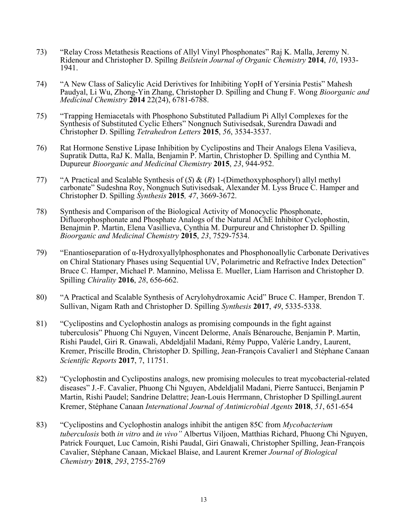- 73) "Relay Cross Metathesis Reactions of Allyl Vinyl Phosphonates" Raj K. Malla, Jeremy N. Ridenour and Christopher D. Spillng *Beilstein Journal of Organic Chemistry* **<sup>2014</sup>**, *10*, 1933- 1941.
- 74) "A New Class of Salicylic Acid Derivtives for Inhibiting YopH of Yersinia Pestis" Mahesh Paudyal, Li Wu, Zhong-Yin Zhang, Christopher D. Spilling and Chung F. Wong *Bioorganic and Medicinal Chemistry* **2014** 22(24), 6781-6788.
- 75) "Trapping Hemiacetals with Phosphono Substituted Palladium Pi Allyl Complexes for the Synthesis of Substituted Cyclic Ethers" Nongnuch Sutivisedsak, Surendra Dawadi and Christopher D. Spilling *Tetrahedron Letters* **2015**, *56*, 3534-3537.
- 76) Rat Hormone Senstive Lipase Inhibition by Cyclipostins and Their Analogs Elena Vasilieva, Supratik Dutta, RaJ K. Malla, Benjamin P. Martin, Christopher D. Spilling and Cynthia M. Dupureur *Bioorganic and Medicinal Chemistry* **2015**, *23*, 944-952.
- 77) "A Practical and Scalable Synthesis of (*S*) & (*R*) 1-(Dimethoxyphosphoryl) allyl methyl carbonate" Sudeshna Roy, Nongnuch Sutivisedsak, Alexander M. Lyss Bruce C. Hamper and Christopher D. Spilling *Synthesis* **2015***, 47*, 3669-3672.
- 78) Synthesis and Comparison of the Biological Activity of Monocyclic Phosphonate, Difluorophosphonate and Phosphate Analogs of the Natural AChE Inhibitor Cyclophostin, Benajmin P. Martin, Elena Vasillieva, Cynthia M. Durpureur and Christopher D. Spilling *Bioorganic and Medicinal Chemistry* **2015**, *23*, 7529-7534.
- 79) "Enantioseparation of α-Hydroxyallylphosphonates and Phosphonoallylic Carbonate Derivatives on Chiral Stationary Phases using Sequential UV, Polarimetric and Refractive Index Detection" Bruce C. Hamper, Michael P. Mannino, Melissa E. Mueller, Liam Harrison and Christopher D. Spilling *Chirality* **2016**, *28*, 656-662.
- 80) "A Practical and Scalable Synthesis of Acrylohydroxamic Acid" Bruce C. Hamper, Brendon T. Sullivan, Nigam Rath and Christopher D. Spilling *Synthesis* **2017**, *49*, 5335-5338.
- 81) "Cyclipostins and Cyclophostin analogs as promising compounds in the fight against tuberculosis" Phuong Chi Nguyen, Vincent Delorme, Anaïs Bénarouche, Benjamin P. Martin, Rishi Paudel, Giri R. Gnawali, Abdeldjalil Madani, Rémy Puppo, Valérie Landry, Laurent, Kremer, Priscille Brodin, Christopher D. Spilling, Jean-François Cavalier1 and Stéphane Canaan *Scientific Reports* **2017**, 7, 11751.
- 82) "Cyclophostin and Cyclipostins analogs, new promising molecules to treat mycobacterial-related diseases" J.-F. Cavalier, Phuong Chi Nguyen, Abdeldjalil Madani, Pierre Santucci, Benjamin P Martin, Rishi Paudel; Sandrine Delattre; Jean-Louis Herrmann, Christopher D SpillingLaurent Kremer, Stéphane Canaan *International Journal of Antimicrobial Agents* **2018**, *51*, 651-654
- 83) "Cyclipostins and Cyclophostin analogs inhibit the antigen 85C from *Mycobacterium tuberculosis* both *in vitro* and *in vivo"* Albertus Viljoen, Matthias Richard, Phuong Chi Nguyen, Patrick Fourquet, Luc Camoin, Rishi Paudal, Giri Gnawali, Christopher Spilling, Jean-François Cavalier, Stéphane Canaan, Mickael Blaise, and Laurent Kremer *Journal of Biological Chemistry* **2018**, *293*, 2755-2769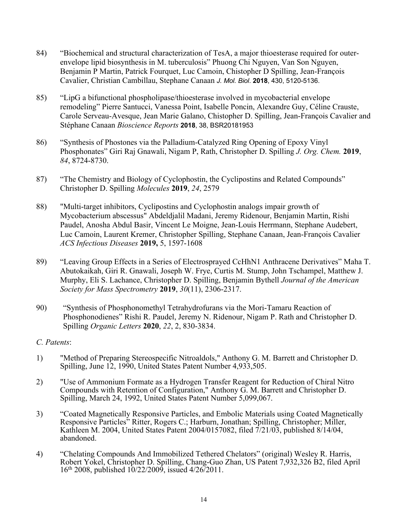- 84) "Biochemical and structural characterization of TesA, a major thioesterase required for outerenvelope lipid biosynthesis in M. tuberculosis" Phuong Chi Nguyen, Van Son Nguyen, Benjamin P Martin, Patrick Fourquet, Luc Camoin, Chistopher D Spilling, Jean-François Cavalier, Christian Cambillau, Stephane Canaan *J. Mol. Biol*. **2018**, 430, 5120-5136.
- 85) "LipG a bifunctional phospholipase/thioesterase involved in mycobacterial envelope remodeling" Pierre Santucci, Vanessa Point, Isabelle Poncin, Alexandre Guy, Céline Crauste, Carole Serveau-Avesque, Jean Marie Galano, Chistopher D. Spilling, Jean-François Cavalier and Stéphane Canaan *Bioscience Reports* **2018**, 38, BSR20181953
- 86) "Synthesis of Phostones via the Palladium-Catalyzed Ring Opening of Epoxy Vinyl Phosphonates" Giri Raj Gnawali, Nigam P, Rath, Christopher D. Spilling *J. Org. Chem.* **2019**, *84*, 8724-8730.
- 87) "The Chemistry and Biology of Cyclophostin, the Cyclipostins and Related Compounds" Christopher D. Spilling *Molecules* **2019**, *24*, 2579
- 88) "Multi-target inhibitors, Cyclipostins and Cyclophostin analogs impair growth of Mycobacterium abscessus" Abdeldjalil Madani, Jeremy Ridenour, Benjamin Martin, Rishi Paudel, Anosha Abdul Basir, Vincent Le Moigne, Jean-Louis Herrmann, Stephane Audebert, Luc Camoin, Laurent Kremer, Christopher Spilling, Stephane Canaan, Jean-François Cavalier *ACS Infectious Diseases* **2019,** 5, 1597-1608
- 89) "Leaving Group Effects in a Series of Electrosprayed CcHhN1 Anthracene Derivatives" Maha T. Abutokaikah, Giri R. Gnawali, Joseph W. Frye, Curtis M. Stump, John Tschampel, Matthew J. Murphy, Eli S. Lachance, Christopher D. Spilling, Benjamin Bythell *Journal of the American Society for Mass Spectrometry* **2019**, *30*(11), 2306-2317.
- 90) "Synthesis of Phosphonomethyl Tetrahydrofurans via the Mori-Tamaru Reaction of Phosphonodienes" Rishi R. Paudel, Jeremy N. Ridenour, Nigam P. Rath and Christopher D. Spilling *Organic Letters* **2020**, *22*, 2, 830-3834.

## *C. Patents*:

- 1) "Method of Preparing Stereospecific Nitroaldols," Anthony G. M. Barrett and Christopher D. Spilling, June 12, 1990, United States Patent Number 4,933,505.
- 2) "Use of Ammonium Formate as a Hydrogen Transfer Reagent for Reduction of Chiral Nitro Compounds with Retention of Configuration," Anthony G. M. Barrett and Christopher D. Spilling, March 24, 1992, United States Patent Number 5,099,067.
- 3) "Coated Magnetically Responsive Particles, and Embolic Materials using Coated Magnetically Responsive Particles" Ritter, Rogers C.; Harburn, Jonathan; Spilling, Christopher; Miller, Kathleen M. 2004, United States Patent 2004/0157082, filed 7/21/03, published 8/14/04, abandoned.
- 4) "Chelating Compounds And Immobilized Tethered Chelators" (original) Wesley R. Harris, Robert Yokel, Christopher D. Spilling, Chang-Guo Zhan, US Patent 7,932,326 B2, filed April 16th 2008, published 10/22/2009, issued 4/26/2011.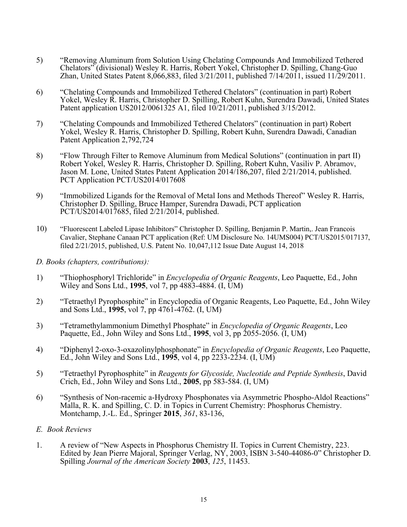- 5) "Removing Aluminum from Solution Using Chelating Compounds And Immobilized Tethered Chelators" (divisional) Wesley R. Harris, Robert Yokel, Christopher D. Spilling, Chang-Guo Zhan, United States Patent 8,066,883, filed 3/21/2011, published 7/14/2011, issued 11/29/2011.
- 6) "Chelating Compounds and Immobilized Tethered Chelators" (continuation in part) Robert Yokel, Wesley R. Harris, Christopher D. Spilling, Robert Kuhn, Surendra Dawadi, United States Patent application US2012/0061325 A1, filed 10/21/2011, published 3/15/2012.
- 7) "Chelating Compounds and Immobilized Tethered Chelators" (continuation in part) Robert Yokel, Wesley R. Harris, Christopher D. Spilling, Robert Kuhn, Surendra Dawadi, Canadian Patent Application 2,792,724
- 8) "Flow Through Filter to Remove Aluminum from Medical Solutions" (continuation in part II) Robert Yokel, Wesley R. Harris, Christopher D. Spilling, Robert Kuhn, Vasiliv P. Abramov, Jason M. Lone, United States Patent Application 2014/186,207, filed 2/21/2014, published. PCT Application PCT/US2014/017608
- 9) "Immobilized Ligands for the Removal of Metal Ions and Methods Thereof" Wesley R. Harris, Christopher D. Spilling, Bruce Hamper, Surendra Dawadi, PCT application PCT/US2014/017685, filed 2/21/2014, published.
- 10) "Fluorescent Labeled Lipase Inhibitors" Christopher D. Spilling, Benjamin P. Martin,. Jean Francois Cavalier, Stephane Canaan PCT application (Ref: UM Disclosure No. 14UMS004) PCT/US2015/017137, filed 2/21/2015, published, U.S. Patent No. 10,047,112 Issue Date August 14, 2018
- *D. Books (chapters, contributions):*
- 1) "Thiophosphoryl Trichloride" in *Encyclopedia of Organic Reagents*, Leo Paquette, Ed., John Wiley and Sons Ltd., **1995**, vol 7, pp 4883-4884. (I, UM)
- 2) "Tetraethyl Pyrophosphite" in Encyclopedia of Organic Reagents, Leo Paquette, Ed., John Wiley and Sons Ltd., **1995**, vol 7, pp 4761-4762. (I, UM)
- 3) "Tetramethylammonium Dimethyl Phosphate" in *Encyclopedia of Organic Reagents*, Leo Paquette, Ed., John Wiley and Sons Ltd., **1995**, vol 3, pp 2055-2056. (I, UM)
- 4) "Diphenyl 2-oxo-3-oxazolinylphosphonate" in *Encyclopedia of Organic Reagents*, Leo Paquette, Ed., John Wiley and Sons Ltd., **1995**, vol 4, pp 2233-2234. (I, UM)
- 5) "Tetraethyl Pyrophosphite" in *Reagents for Glycoside, Nucleotide and Peptide Synthesis*, David Crich, Ed., John Wiley and Sons Ltd., **2005**, pp 583-584. (I, UM)
- 6) "Synthesis of Non-racemic a-Hydroxy Phosphonates via Asymmetric Phospho-Aldol Reactions" Malla, R. K. and Spilling, C. D. in Topics in Current Chemistry: Phosphorus Chemistry. Montchamp, J.-L. Ed., Springer **2015**, *361*, 83-136,
- *E. Book Reviews*
- 1. A review of "New Aspects in Phosphorus Chemistry II. Topics in Current Chemistry, 223. Edited by Jean Pierre Majoral, Springer Verlag, NY, 2003, ISBN 3-540-44086-0" Christopher D. Spilling *Journal of the American Society* **2003**, *125*, 11453.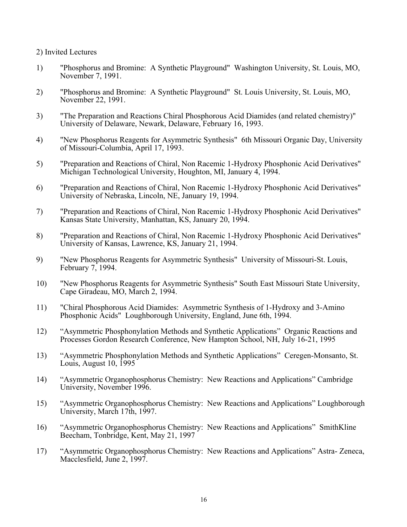2) Invited Lectures

- 1) "Phosphorus and Bromine: A Synthetic Playground" Washington University, St. Louis, MO, November 7, 1991.
- 2) "Phosphorus and Bromine: A Synthetic Playground" St. Louis University, St. Louis, MO, November 22, 1991.
- 3) "The Preparation and Reactions Chiral Phosphorous Acid Diamides (and related chemistry)" University of Delaware, Newark, Delaware, February 16, 1993.
- 4) "New Phosphorus Reagents for Asymmetric Synthesis" 6th Missouri Organic Day, University of Missouri-Columbia, April 17, 1993.
- 5) "Preparation and Reactions of Chiral, Non Racemic 1-Hydroxy Phosphonic Acid Derivatives" Michigan Technological University, Houghton, MI, January 4, 1994.
- 6) "Preparation and Reactions of Chiral, Non Racemic 1-Hydroxy Phosphonic Acid Derivatives" University of Nebraska, Lincoln, NE, January 19, 1994.
- 7) "Preparation and Reactions of Chiral, Non Racemic 1-Hydroxy Phosphonic Acid Derivatives" Kansas State University, Manhattan, KS, January 20, 1994.
- 8) "Preparation and Reactions of Chiral, Non Racemic 1-Hydroxy Phosphonic Acid Derivatives" University of Kansas, Lawrence, KS, January 21, 1994.
- 9) "New Phosphorus Reagents for Asymmetric Synthesis" University of Missouri-St. Louis, February 7, 1994.
- 10) "New Phosphorus Reagents for Asymmetric Synthesis" South East Missouri State University, Cape Giradeau, MO, March 2, 1994.
- 11) "Chiral Phosphorous Acid Diamides: Asymmetric Synthesis of 1-Hydroxy and 3-Amino Phosphonic Acids" Loughborough University, England, June 6th, 1994.
- 12) "Asymmetric Phosphonylation Methods and Synthetic Applications" Organic Reactions and Processes Gordon Research Conference, New Hampton School, NH, July 16-21, 1995
- 13) "Asymmetric Phosphonylation Methods and Synthetic Applications" Ceregen-Monsanto, St. Louis, August 10, 1995
- 14) "Asymmetric Organophosphorus Chemistry: New Reactions and Applications" Cambridge University, November 1996.
- 15) "Asymmetric Organophosphorus Chemistry: New Reactions and Applications" Loughborough University, March 17th, 1997.
- 16) "Asymmetric Organophosphorus Chemistry: New Reactions and Applications" SmithKline Beecham, Tonbridge, Kent, May 21, 1997
- 17) "Asymmetric Organophosphorus Chemistry: New Reactions and Applications" Astra- Zeneca, Macclesfield, June 2, 1997.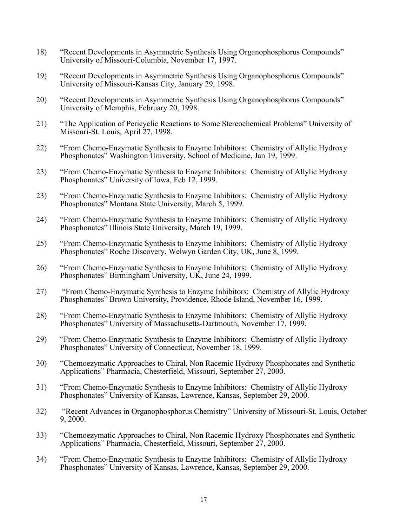- 18) "Recent Developments in Asymmetric Synthesis Using Organophosphorus Compounds" University of Missouri-Columbia, November 17, 1997.
- 19) "Recent Developments in Asymmetric Synthesis Using Organophosphorus Compounds" University of Missouri-Kansas City, January 29, 1998.
- 20) "Recent Developments in Asymmetric Synthesis Using Organophosphorus Compounds" University of Memphis, February 20, 1998.
- 21) "The Application of Pericyclic Reactions to Some Stereochemical Problems" University of Missouri-St. Louis, April 27, 1998.
- 22) "From Chemo-Enzymatic Synthesis to Enzyme Inhibitors: Chemistry of Allylic Hydroxy Phosphonates" Washington University, School of Medicine, Jan 19, 1999.
- 23) "From Chemo-Enzymatic Synthesis to Enzyme Inhibitors: Chemistry of Allylic Hydroxy Phosphonates" University of Iowa, Feb 12, 1999.
- 23) "From Chemo-Enzymatic Synthesis to Enzyme Inhibitors: Chemistry of Allylic Hydroxy Phosphonates" Montana State University, March 5, 1999.
- 24) "From Chemo-Enzymatic Synthesis to Enzyme Inhibitors: Chemistry of Allylic Hydroxy Phosphonates" Illinois State University, March 19, 1999.
- 25) "From Chemo-Enzymatic Synthesis to Enzyme Inhibitors: Chemistry of Allylic Hydroxy Phosphonates" Roche Discovery, Welwyn Garden City, UK, June 8, 1999.
- 26) "From Chemo-Enzymatic Synthesis to Enzyme Inhibitors: Chemistry of Allylic Hydroxy Phosphonates" Birmingham University, UK, June 24, 1999.
- 27) "From Chemo-Enzymatic Synthesis to Enzyme Inhibitors: Chemistry of Allylic Hydroxy Phosphonates" Brown University, Providence, Rhode Island, November 16, 1999.
- 28) "From Chemo-Enzymatic Synthesis to Enzyme Inhibitors: Chemistry of Allylic Hydroxy Phosphonates" University of Massachusetts-Dartmouth, November 17, 1999.
- 29) "From Chemo-Enzymatic Synthesis to Enzyme Inhibitors: Chemistry of Allylic Hydroxy Phosphonates" University of Connecticut, November 18, 1999.
- 30) "Chemoezymatic Approaches to Chiral, Non Racemic Hydroxy Phosphonates and Synthetic Applications" Pharmacia, Chesterfield, Missouri, September 27, 2000.
- 31) "From Chemo-Enzymatic Synthesis to Enzyme Inhibitors: Chemistry of Allylic Hydroxy Phosphonates" University of Kansas, Lawrence, Kansas, September 29, 2000.
- 32) "Recent Advances in Organophosphorus Chemistry" University of Missouri-St. Louis, October 9, 2000.
- 33) "Chemoezymatic Approaches to Chiral, Non Racemic Hydroxy Phosphonates and Synthetic Applications" Pharmacia, Chesterfield, Missouri, September 27, 2000.
- 34) "From Chemo-Enzymatic Synthesis to Enzyme Inhibitors: Chemistry of Allylic Hydroxy Phosphonates" University of Kansas, Lawrence, Kansas, September 29, 2000.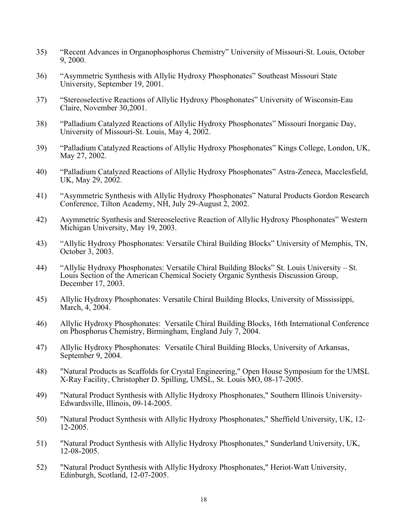- 35) "Recent Advances in Organophosphorus Chemistry" University of Missouri-St. Louis, October 9, 2000.
- 36) "Asymmetric Synthesis with Allylic Hydroxy Phosphonates" Southeast Missouri State University, September 19, 2001.
- 37) "Stereoselective Reactions of Allylic Hydroxy Phosphonates" University of Wisconsin-Eau Claire, November 30,2001.
- 38) "Palladium Catalyzed Reactions of Allylic Hydroxy Phosphonates" Missouri Inorganic Day, University of Missouri-St. Louis, May 4, 2002.
- 39) "Palladium Catalyzed Reactions of Allylic Hydroxy Phosphonates" Kings College, London, UK, May 27, 2002.
- 40) "Palladium Catalyzed Reactions of Allylic Hydroxy Phosphonates" Astra-Zeneca, Macclesfield, UK, May 29, 2002.
- 41) "Asymmetric Synthesis with Allylic Hydroxy Phosphonates" Natural Products Gordon Research Conference, Tilton Academy, NH, July 29-August 2, 2002.
- 42) Asymmetric Synthesis and Stereoselective Reaction of Allylic Hydroxy Phosphonates" Western Michigan University, May 19, 2003.
- 43) "Allylic Hydroxy Phosphonates: Versatile Chiral Building Blocks" University of Memphis, TN, October 3, 2003.
- 44) "Allylic Hydroxy Phosphonates: Versatile Chiral Building Blocks" St. Louis University St. Louis Section of the American Chemical Society Organic Synthesis Discussion Group, December 17, 2003.
- 45) Allylic Hydroxy Phosphonates: Versatile Chiral Building Blocks, University of Mississippi, March, 4, 2004.
- 46) Allylic Hydroxy Phosphonates: Versatile Chiral Building Blocks, 16th International Conference on Phosphorus Chemistry, Birmingham, England July 7, 2004.
- 47) Allylic Hydroxy Phosphonates: Versatile Chiral Building Blocks, University of Arkansas, September 9, 2004.
- 48) "Natural Products as Scaffolds for Crystal Engineering," Open House Symposium for the UMSL X-Ray Facility, Christopher D. Spilling, UMSL, St. Louis MO, 08-17-2005.
- 49) "Natural Product Synthesis with Allylic Hydroxy Phosphonates," Southern Illinois University-Edwardsville, Illinois, 09-14-2005.
- 50) "Natural Product Synthesis with Allylic Hydroxy Phosphonates," Sheffield University, UK, 12- 12-2005.
- 51) "Natural Product Synthesis with Allylic Hydroxy Phosphonates," Sunderland University, UK, 12-08-2005.
- 52) "Natural Product Synthesis with Allylic Hydroxy Phosphonates," Heriot-Watt University, Edinburgh, Scotland, 12-07-2005.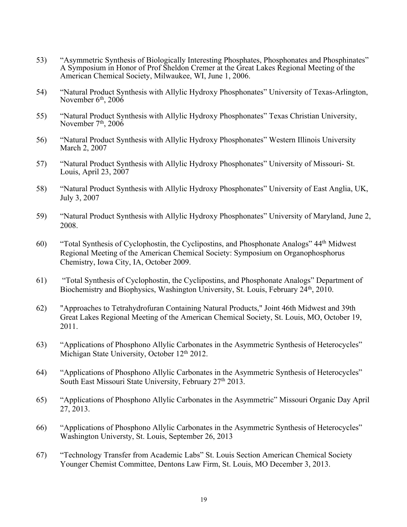- 53) "Asymmetric Synthesis of Biologically Interesting Phosphates, Phosphonates and Phosphinates" A Symposium in Honor of Prof Sheldon Cremer at the Great Lakes Regional Meeting of the American Chemical Society, Milwaukee, WI, June 1, 2006.
- 54) "Natural Product Synthesis with Allylic Hydroxy Phosphonates" University of Texas-Arlington, November  $6<sup>th</sup>$ , 200 $6<sup>th</sup>$
- 55) "Natural Product Synthesis with Allylic Hydroxy Phosphonates" Texas Christian University, November  $7<sup>th</sup>$ , 2006
- 56) "Natural Product Synthesis with Allylic Hydroxy Phosphonates" Western Illinois University March 2, 2007
- 57) "Natural Product Synthesis with Allylic Hydroxy Phosphonates" University of Missouri- St. Louis, April 23, 2007
- 58) "Natural Product Synthesis with Allylic Hydroxy Phosphonates" University of East Anglia, UK, July 3, 2007
- 59) "Natural Product Synthesis with Allylic Hydroxy Phosphonates" University of Maryland, June 2, 2008.
- 60) "Total Synthesis of Cyclophostin, the Cyclipostins, and Phosphonate Analogs" 44th Midwest Regional Meeting of the American Chemical Society: Symposium on Organophosphorus Chemistry, Iowa City, IA, October 2009.
- 61) "Total Synthesis of Cyclophostin, the Cyclipostins, and Phosphonate Analogs" Department of Biochemistry and Biophysics, Washington University, St. Louis, February 24<sup>th</sup>, 2010.
- 62) "Approaches to Tetrahydrofuran Containing Natural Products," Joint 46th Midwest and 39th Great Lakes Regional Meeting of the American Chemical Society, St. Louis, MO, October 19, 2011.
- 63) "Applications of Phosphono Allylic Carbonates in the Asymmetric Synthesis of Heterocycles" Michigan State University, October 12<sup>th</sup> 2012.
- 64) "Applications of Phosphono Allylic Carbonates in the Asymmetric Synthesis of Heterocycles" South East Missouri State University, February 27<sup>th</sup> 2013.
- 65) "Applications of Phosphono Allylic Carbonates in the Asymmetric" Missouri Organic Day April 27, 2013.
- 66) "Applications of Phosphono Allylic Carbonates in the Asymmetric Synthesis of Heterocycles" Washington Universty, St. Louis, September 26, 2013
- 67) "Technology Transfer from Academic Labs" St. Louis Section American Chemical Society Younger Chemist Committee, Dentons Law Firm, St. Louis, MO December 3, 2013.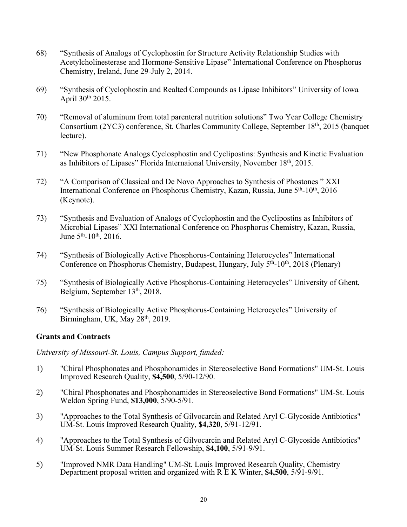- 68) "Synthesis of Analogs of Cyclophostin for Structure Activity Relationship Studies with Acetylcholinesterase and Hormone-Sensitive Lipase" International Conference on Phosphorus Chemistry, Ireland, June 29-July 2, 2014.
- 69) "Synthesis of Cyclophostin and Realted Compounds as Lipase Inhibitors" University of Iowa April 30th 2015.
- 70) "Removal of aluminum from total parenteral nutrition solutions" Two Year College Chemistry Consortium (2YC3) conference, St. Charles Community College, September 18th, 2015 (banquet lecture).
- 71) "New Phosphonate Analogs Cyclosphostin and Cyclipostins: Synthesis and Kinetic Evaluation as Inhibitors of Lipases" Florida Internaional University, November 18th, 2015.
- 72) "A Comparison of Classical and De Novo Approaches to Synthesis of Phostones " XXI International Conference on Phosphorus Chemistry, Kazan, Russia, June 5<sup>th</sup>-10<sup>th</sup>, 2016 (Keynote).
- 73) "Synthesis and Evaluation of Analogs of Cyclophostin and the Cyclipostins as Inhibitors of Microbial Lipases" XXI International Conference on Phosphorus Chemistry, Kazan, Russia, June  $5<sup>th</sup>$ -10<sup>th</sup>, 2016.
- 74) "Synthesis of Biologically Active Phosphorus-Containing Heterocycles" International Conference on Phosphorus Chemistry, Budapest, Hungary, July 5<sup>th</sup>-10<sup>th</sup>, 2018 (Plenary)
- 75) "Synthesis of Biologically Active Phosphorus-Containing Heterocycles" University of Ghent, Belgium, September 13<sup>th</sup>, 2018.
- 76) "Synthesis of Biologically Active Phosphorus-Containing Heterocycles" University of Birmingham, UK, May 28<sup>th</sup>, 2019.

# **Grants and Contracts**

*University of Missouri-St. Louis, Campus Support, funded:*

- 1) "Chiral Phosphonates and Phosphonamides in Stereoselective Bond Formations" UM-St. Louis Improved Research Quality, **\$4,500**, 5/90-12/90.
- 2) "Chiral Phosphonates and Phosphonamides in Stereoselective Bond Formations" UM-St. Louis Weldon Spring Fund, **\$13,000**, 5/90-5/91.
- 3) "Approaches to the Total Synthesis of Gilvocarcin and Related Aryl C-Glycoside Antibiotics" UM-St. Louis Improved Research Quality, **\$4,320**, 5/91-12/91.
- 4) "Approaches to the Total Synthesis of Gilvocarcin and Related Aryl C-Glycoside Antibiotics" UM-St. Louis Summer Research Fellowship, **\$4,100**, 5/91-9/91.
- 5) "Improved NMR Data Handling" UM-St. Louis Improved Research Quality, Chemistry Department proposal written and organized with R E K Winter, **\$4,500**, 5/91-9/91.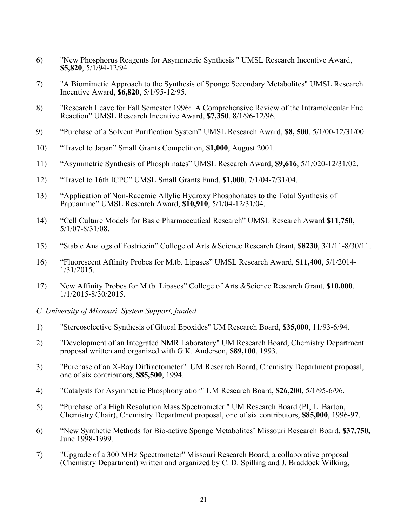- 6) "New Phosphorus Reagents for Asymmetric Synthesis " UMSL Research Incentive Award, **\$5,820**, 5/1/94-12/94.
- 7) "A Biomimetic Approach to the Synthesis of Sponge Secondary Metabolites" UMSL Research Incentive Award, **\$6,820**, 5/1/95-12/95.
- 8) "Research Leave for Fall Semester 1996: A Comprehensive Review of the Intramolecular Ene Reaction" UMSL Research Incentive Award, **\$7,350**, 8/1/96-12/96.
- 9) "Purchase of a Solvent Purification System" UMSL Research Award, **\$8, 500**, 5/1/00-12/31/00.
- 10) "Travel to Japan" Small Grants Competition, **\$1,000**, August 2001.
- 11) "Asymmetric Synthesis of Phosphinates" UMSL Research Award, **\$9,616**, 5/1/020-12/31/02.
- 12) "Travel to 16th ICPC" UMSL Small Grants Fund, **\$1,000**, 7/1/04-7/31/04.
- 13) "Application of Non-Racemic Allylic Hydroxy Phosphonates to the Total Synthesis of Papuamine" UMSL Research Award, **\$10,910**, 5/1/04-12/31/04.
- 14) "Cell Culture Models for Basic Pharmaceutical Research" UMSL Research Award **\$11,750**, 5/1/07-8/31/08.
- 15) "Stable Analogs of Fostriecin" College of Arts &Science Research Grant, **\$8230**, 3/1/11-8/30/11.
- 16) "Fluorescent Affinity Probes for M.tb. Lipases" UMSL Research Award, **\$11,400**, 5/1/2014- 1/31/2015.
- 17) New Affinity Probes for M.tb. Lipases" College of Arts &Science Research Grant, **\$10,000**, 1/1/2015-8/30/2015.
- *C. University of Missouri, System Support, funded*
- 1) "Stereoselective Synthesis of Glucal Epoxides" UM Research Board, **\$35,000**, 11/93-6/94.
- 2) "Development of an Integrated NMR Laboratory" UM Research Board, Chemistry Department proposal written and organized with G.K. Anderson, **\$89,100**, 1993.
- 3) "Purchase of an X-Ray Diffractometer" UM Research Board, Chemistry Department proposal, one of six contributors, **\$85,500**, 1994.
- 4) "Catalysts for Asymmetric Phosphonylation" UM Research Board, **\$26,200**, 5/1/95-6/96.
- 5) "Purchase of a High Resolution Mass Spectrometer " UM Research Board (PI, L. Barton, Chemistry Chair), Chemistry Department proposal, one of six contributors, **\$85,000**, 1996-97.
- 6) "New Synthetic Methods for Bio-active Sponge Metabolites' Missouri Research Board, **\$37,750,**  June 1998-1999.
- 7) "Upgrade of a 300 MHz Spectrometer" Missouri Research Board, a collaborative proposal (Chemistry Department) written and organized by C. D. Spilling and J. Braddock Wilking,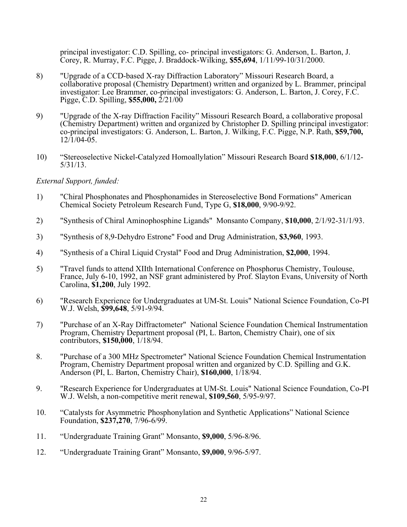principal investigator: C.D. Spilling, co- principal investigators: G. Anderson, L. Barton, J. Corey, R. Murray, F.C. Pigge, J. Braddock-Wilking, **\$55,694**, 1/11/99-10/31/2000.

- 8) "Upgrade of a CCD-based X-ray Diffraction Laboratory" Missouri Research Board, a collaborative proposal (Chemistry Department) written and organized by L. Brammer, principal investigator: Lee Brammer, co-principal investigators: G. Anderson, L. Barton, J. Corey, F.C. Pigge, C.D. Spilling, **\$55,000,** 2/21/00
- 9) "Upgrade of the X-ray Diffraction Facility" Missouri Research Board, a collaborative proposal (Chemistry Department) written and organized by Christopher D. Spilling principal investigator: co-principal investigators: G. Anderson, L. Barton, J. Wilking, F.C. Pigge, N.P. Rath, **\$59,700,**   $12/1/04 - 05$ .
- 10) "Stereoselective Nickel-Catalyzed Homoallylation" Missouri Research Board **\$18,000**, 6/1/12- 5/31/13.

### *External Support, funded:*

- 1) "Chiral Phosphonates and Phosphonamides in Stereoselective Bond Formations" American Chemical Society Petroleum Research Fund, Type G, **\$18,000**, 9/90-9/92.
- 2) "Synthesis of Chiral Aminophosphine Ligands" Monsanto Company, **\$10,000**, 2/1/92-31/1/93.
- 3) "Synthesis of 8,9-Dehydro Estrone" Food and Drug Administration, **\$3,960**, 1993.
- 4) "Synthesis of a Chiral Liquid Crystal" Food and Drug Administration, **\$2,000**, 1994.
- 5) "Travel funds to attend XIIth International Conference on Phosphorus Chemistry, Toulouse, France, July 6-10, 1992, an NSF grant administered by Prof. Slayton Evans, University of North Carolina, **\$1,200**, July 1992.
- 6) "Research Experience for Undergraduates at UM-St. Louis" National Science Foundation, Co-PI W.J. Welsh, **\$99,648**, 5/91-9/94.
- 7) "Purchase of an X-Ray Diffractometer" National Science Foundation Chemical Instrumentation Program, Chemistry Department proposal (PI, L. Barton, Chemistry Chair), one of six contributors, **\$150,000**, 1/18/94.
- 8. "Purchase of a 300 MHz Spectrometer" National Science Foundation Chemical Instrumentation Program, Chemistry Department proposal written and organized by C.D. Spilling and G.K. Anderson (PI, L. Barton, Chemistry Chair), **\$160,000**, 1/18/94.
- 9. "Research Experience for Undergraduates at UM-St. Louis" National Science Foundation, Co-PI W.J. Welsh, a non-competitive merit renewal, **\$109,560**, 5/95-9/97.
- 10. "Catalysts for Asymmetric Phosphonylation and Synthetic Applications" National Science Foundation, **\$237,270**, 7/96-6/99.
- 11. "Undergraduate Training Grant" Monsanto, **\$9,000**, 5/96-8/96.
- 12. "Undergraduate Training Grant" Monsanto, **\$9,000**, 9/96-5/97.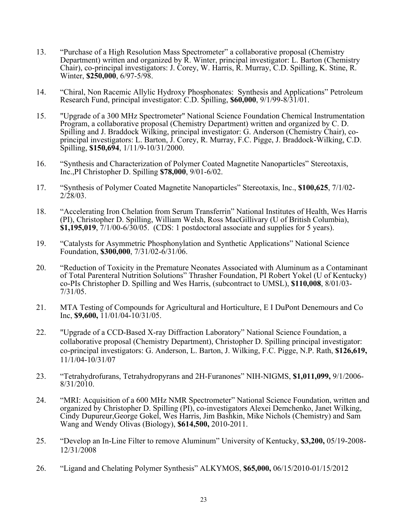- 13. "Purchase of a High Resolution Mass Spectrometer" a collaborative proposal (Chemistry Department) written and organized by  $\vec{R}$ . Winter, principal investigator: L. Barton (Chemistry Chair), co-principal investigators: J. Corey, W. Harris, R. Murray, C.D. Spilling, K. Stine, R. Winter, **\$250,000**, 6/97-5/98.
- 14. "Chiral, Non Racemic Allylic Hydroxy Phosphonates: Synthesis and Applications" Petroleum Research Fund, principal investigator: C.D. Spilling, **\$60,000**, 9/1/99-8/31/01.
- 15. "Upgrade of a 300 MHz Spectrometer" National Science Foundation Chemical Instrumentation Program, a collaborative proposal (Chemistry Department) written and organized by C. D. Spilling and J. Braddock Wilking, principal investigator: G. Anderson (Chemistry Chair), coprincipal investigators: L. Barton, J. Corey, R. Murray, F.C. Pigge, J. Braddock-Wilking, C.D. Spilling, **\$150,694**, 1/11/9-10/31/2000.
- 16. "Synthesis and Characterization of Polymer Coated Magnetite Nanoparticles" Stereotaxis, Inc.,PI Christopher D. Spilling **\$78,000**, 9/01-6/02.
- 17. "Synthesis of Polymer Coated Magnetite Nanoparticles" Stereotaxis, Inc., **\$100,625**, 7/1/02- 2/28/03.
- 18. "Accelerating Iron Chelation from Serum Transferrin" National Institutes of Health, Wes Harris (PI), Christopher D. Spilling, William Welsh, Ross MacGillivary (U of British Columbia), **\$1,195,019**, 7/1/00-6/30/05.(CDS: 1 postdoctoral associate and supplies for 5 years).
- 19. "Catalysts for Asymmetric Phosphonylation and Synthetic Applications" National Science Foundation, **\$300,000**, 7/31/02-6/31/06.
- 20. "Reduction of Toxicity in the Premature Neonates Associated with Aluminum as a Contaminant of Total Parenteral Nutrition Solutions" Thrasher Foundation, PI Robert Yokel (U of Kentucky) co-PIs Christopher D. Spilling and Wes Harris, (subcontract to UMSL), **\$110,008**, 8/01/03- 7/31/05.
- 21. MTA Testing of Compounds for Agricultural and Horticulture, E I DuPont Denemours and Co Inc, **\$9,600,** 11/01/04-10/31/05.
- 22. "Upgrade of a CCD-Based X-ray Diffraction Laboratory" National Science Foundation, a collaborative proposal (Chemistry Department), Christopher D. Spilling principal investigator: co-principal investigators: G. Anderson, L. Barton, J. Wilking, F.C. Pigge, N.P. Rath, **\$126,619,**  11/1/04-10/31/07
- 23. "Tetrahydrofurans, Tetrahydropyrans and 2H-Furanones" NIH-NIGMS, **\$1,011,099,** 9/1/2006- 8/31/2010.
- 24. "MRI: Acquisition of a 600 MHz NMR Spectrometer" National Science Foundation, written and organized by Christopher D. Spilling (PI), co-investigators Alexei Demchenko, Janet Wilking, Cindy Dupureur,George Gokel, Wes Harris, Jim Bashkin, Mike Nichols (Chemistry) and Sam Wang and Wendy Olivas (Biology), **\$614,500,** 2010-2011.
- 25. "Develop an In-Line Filter to remove Aluminum" University of Kentucky, **\$3,200,** 05/19-2008- 12/31/2008
- 26. "Ligand and Chelating Polymer Synthesis" ALKYMOS, **\$65,000,** 06/15/2010-01/15/2012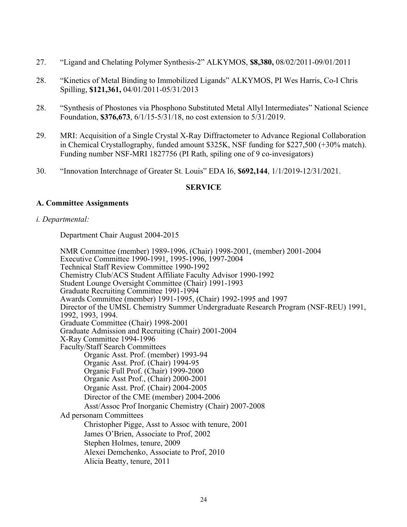- 27. "Ligand and Chelating Polymer Synthesis-2" ALKYMOS, **\$8,380,** 08/02/2011-09/01/2011
- 28. "Kinetics of Metal Binding to Immobilized Ligands" ALKYMOS, PI Wes Harris, Co-I Chris Spilling, **\$121,361,** 04/01/2011-05/31/2013
- 28. "Synthesis of Phostones via Phosphono Substituted Metal Allyl Intermediates" National Science Foundation, **\$376,673**, 6/1/15-5/31/18, no cost extension to 5/31/2019.
- 29. MRI: Acquisition of a Single Crystal X-Ray Diffractometer to Advance Regional Collaboration in Chemical Crystallography, funded amount \$325K, NSF funding for \$227,500 (+30% match). Funding number NSF-MRI 1827756 (PI Rath, spiling one of 9 co-invesigators)
- 30. "Innovation Interchnage of Greater St. Louis" EDA I6, **\$692,144**, 1/1/2019-12/31/2021.

### **SERVICE**

### **A. Committee Assignments**

#### *i. Departmental:*

Department Chair August 2004-2015

NMR Committee (member) 1989-1996, (Chair) 1998-2001, (member) 2001-2004 Executive Committee 1990-1991, 1995-1996, 1997-2004 Technical Staff Review Committee 1990-1992 Chemistry Club/ACS Student Affiliate Faculty Advisor 1990-1992 Student Lounge Oversight Committee (Chair) 1991-1993 Graduate Recruiting Committee 1991-1994 Awards Committee (member) 1991-1995, (Chair) 1992-1995 and 1997 Director of the UMSL Chemistry Summer Undergraduate Research Program (NSF-REU) 1991, 1992, 1993, 1994. Graduate Committee (Chair) 1998-2001 Graduate Admission and Recruiting (Chair) 2001-2004 X-Ray Committee 1994-1996 Faculty/Staff Search Committees Organic Asst. Prof. (member) 1993-94 Organic Asst. Prof. (Chair) 1994-95 Organic Full Prof. (Chair) 1999-2000 Organic Asst Prof., (Chair) 2000-2001 Organic Asst. Prof. (Chair) 2004-2005 Director of the CME (member) 2004-2006 Asst/Assoc Prof Inorganic Chemistry (Chair) 2007-2008 Ad personam Committees Christopher Pigge, Asst to Assoc with tenure, 2001 James O'Brien, Associate to Prof, 2002 Stephen Holmes, tenure, 2009 Alexei Demchenko, Associate to Prof, 2010 Alicia Beatty, tenure, 2011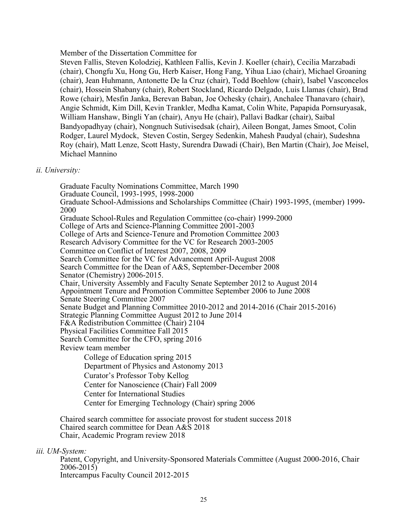Member of the Dissertation Committee for

Steven Fallis, Steven Kolodziej, Kathleen Fallis, Kevin J. Koeller (chair), Cecilia Marzabadi (chair), Chongfu Xu, Hong Gu, Herb Kaiser, Hong Fang, Yihua Liao (chair), Michael Groaning (chair), Jean Huhmann, Antonette De la Cruz (chair), Todd Boehlow (chair), Isabel Vasconcelos (chair), Hossein Shabany (chair), Robert Stockland, Ricardo Delgado, Luis Llamas (chair), Brad Rowe (chair), Mesfin Janka, Berevan Baban, Joe Ochesky (chair), Anchalee Thanavaro (chair), Angie Schmidt, Kim Dill, Kevin Trankler, Medha Kamat, Colin White, Papapida Pornsuryasak, William Hanshaw, Bingli Yan (chair), Anyu He (chair), Pallavi Badkar (chair), Saibal Bandyopadhyay (chair), Nongnuch Sutivisedsak (chair), Aileen Bongat, James Smoot, Colin Rodger, Laurel Mydock, Steven Costin, Sergey Sedenkin, Mahesh Paudyal (chair), Sudeshna Roy (chair), Matt Lenze, Scott Hasty, Surendra Dawadi (Chair), Ben Martin (Chair), Joe Meisel, Michael Mannino

### *ii. University:*

Graduate Faculty Nominations Committee, March 1990 Graduate Council, 1993-1995, 1998-2000 Graduate School-Admissions and Scholarships Committee (Chair) 1993-1995, (member) 1999- 2000 Graduate School-Rules and Regulation Committee (co-chair) 1999-2000 College of Arts and Science-Planning Committee 2001-2003 College of Arts and Science-Tenure and Promotion Committee 2003 Research Advisory Committee for the VC for Research 2003-2005 Committee on Conflict of Interest 2007, 2008, 2009 Search Committee for the VC for Advancement April-August 2008 Search Committee for the Dean of A&S, September-December 2008 Senator (Chemistry) 2006-2015. Chair, University Assembly and Faculty Senate September 2012 to August 2014 Appointment Tenure and Promotion Committee September 2006 to June 2008 Senate Steering Committee 2007 Senate Budget and Planning Committee 2010-2012 and 2014-2016 (Chair 2015-2016) Strategic Planning Committee August 2012 to June 2014 F&A Redistribution Committee (Chair) 2104 Physical Facilities Committee Fall 2015 Search Committee for the CFO, spring 2016 Review team member College of Education spring 2015 Department of Physics and Astonomy 2013 Curator's Professor Toby Kellog Center for Nanoscience (Chair) Fall 2009 Center for International Studies Center for Emerging Technology (Chair) spring 2006

Chaired search committee for associate provost for student success 2018 Chaired search committee for Dean A&S 2018 Chair, Academic Program review 2018

*iii. UM-System:*

Patent, Copyright, and University-Sponsored Materials Committee (August 2000-2016, Chair  $2006 - 2015$ Intercampus Faculty Council 2012-2015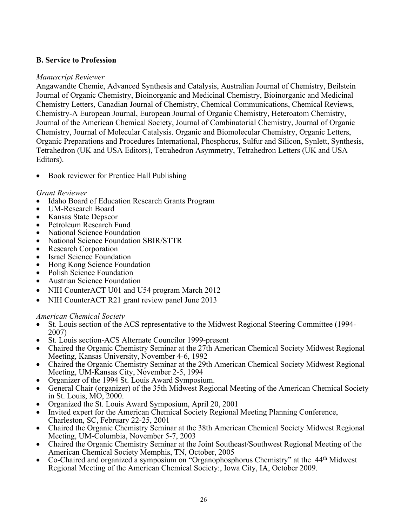# **B. Service to Profession**

# *Manuscript Reviewer*

Angawandte Chemie, Advanced Synthesis and Catalysis, Australian Journal of Chemistry, Beilstein Journal of Organic Chemistry, Bioinorganic and Medicinal Chemistry, Bioinorganic and Medicinal Chemistry Letters, Canadian Journal of Chemistry, Chemical Communications, Chemical Reviews, Chemistry-A European Journal, European Journal of Organic Chemistry, Heteroatom Chemistry, Journal of the American Chemical Society, Journal of Combinatorial Chemistry, Journal of Organic Chemistry, Journal of Molecular Catalysis. Organic and Biomolecular Chemistry, Organic Letters, Organic Preparations and Procedures International, Phosphorus, Sulfur and Silicon, Synlett, Synthesis, Tetrahedron (UK and USA Editors), Tetrahedron Asymmetry, Tetrahedron Letters (UK and USA Editors).

• Book reviewer for Prentice Hall Publishing

# *Grant Reviewer*

- Idaho Board of Education Research Grants Program
- UM-Research Board
- Kansas State Depscor
- Petroleum Research Fund
- National Science Foundation
- National Science Foundation SBIR/STTR
- Research Corporation
- **Israel Science Foundation**
- Hong Kong Science Foundation
- Polish Science Foundation
- Austrian Science Foundation
- NIH CounterACT U01 and U54 program March 2012
- NIH CounterACT R21 grant review panel June 2013

## *American Chemical Society*

- St. Louis section of the ACS representative to the Midwest Regional Steering Committee (1994- 2007)
- St. Louis section-ACS Alternate Councilor 1999-present
- Chaired the Organic Chemistry Seminar at the 27th American Chemical Society Midwest Regional Meeting, Kansas University, November 4-6, 1992
- Chaired the Organic Chemistry Seminar at the 29th American Chemical Society Midwest Regional Meeting, UM-Kansas City, November 2-5, 1994
- Organizer of the 1994 St. Louis Award Symposium.
- General Chair (organizer) of the 35th Midwest Regional Meeting of the American Chemical Society in St. Louis, MO, 2000.
- Organized the St. Louis Award Symposium, April 20, 2001
- Invited expert for the American Chemical Society Regional Meeting Planning Conference, Charleston, SC, February 22-25, 2001
- Chaired the Organic Chemistry Seminar at the 38th American Chemical Society Midwest Regional Meeting, UM-Columbia, November 5-7, 2003
- Chaired the Organic Chemistry Seminar at the Joint Southeast/Southwest Regional Meeting of the American Chemical Society Memphis, TN, October, 2005
- Co-Chaired and organized a symposium on "Organophosphorus Chemistry" at the 44<sup>th</sup> Midwest Regional Meeting of the American Chemical Society:, Iowa City, IA, October 2009.